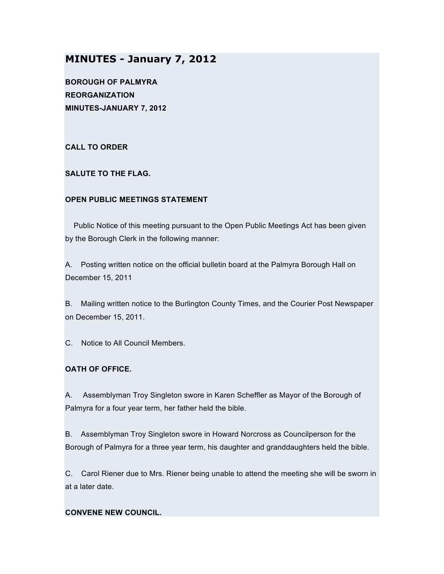# **MINUTES - January 7, 2012**

**BOROUGH OF PALMYRA REORGANIZATION MINUTES-JANUARY 7, 2012**

**CALL TO ORDER**

**SALUTE TO THE FLAG.**

### **OPEN PUBLIC MEETINGS STATEMENT**

Public Notice of this meeting pursuant to the Open Public Meetings Act has been given by the Borough Clerk in the following manner:

A. Posting written notice on the official bulletin board at the Palmyra Borough Hall on December 15, 2011

B. Mailing written notice to the Burlington County Times, and the Courier Post Newspaper on December 15, 2011.

C. Notice to All Council Members.

# **OATH OF OFFICE.**

A. Assemblyman Troy Singleton swore in Karen Scheffler as Mayor of the Borough of Palmyra for a four year term, her father held the bible.

B. Assemblyman Troy Singleton swore in Howard Norcross as Councilperson for the Borough of Palmyra for a three year term, his daughter and granddaughters held the bible.

C. Carol Riener due to Mrs. Riener being unable to attend the meeting she will be sworn in at a later date.

### **CONVENE NEW COUNCIL.**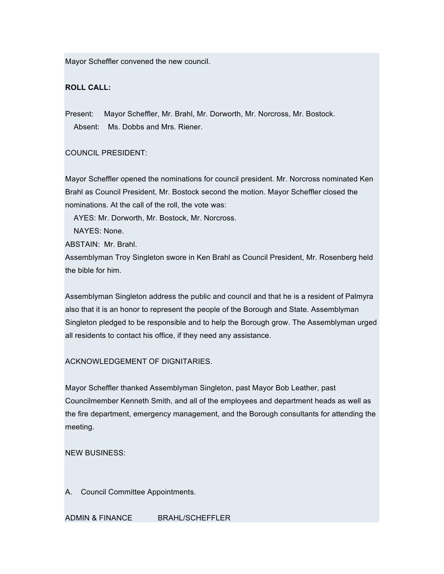Mayor Scheffler convened the new council.

## **ROLL CALL:**

Present: Mayor Scheffler, Mr. Brahl, Mr. Dorworth, Mr. Norcross, Mr. Bostock. Absent: Ms. Dobbs and Mrs. Riener.

### COUNCIL PRESIDENT:

Mayor Scheffler opened the nominations for council president. Mr. Norcross nominated Ken Brahl as Council President, Mr. Bostock second the motion. Mayor Scheffler closed the nominations. At the call of the roll, the vote was:

AYES: Mr. Dorworth, Mr. Bostock, Mr. Norcross.

NAYES: None.

ABSTAIN: Mr. Brahl.

Assemblyman Troy Singleton swore in Ken Brahl as Council President, Mr. Rosenberg held the bible for him.

Assemblyman Singleton address the public and council and that he is a resident of Palmyra also that it is an honor to represent the people of the Borough and State. Assemblyman Singleton pledged to be responsible and to help the Borough grow. The Assemblyman urged all residents to contact his office, if they need any assistance.

### ACKNOWLEDGEMENT OF DIGNITARIES.

Mayor Scheffler thanked Assemblyman Singleton, past Mayor Bob Leather, past Councilmember Kenneth Smith, and all of the employees and department heads as well as the fire department, emergency management, and the Borough consultants for attending the meeting.

NEW BUSINESS:

A. Council Committee Appointments.

ADMIN & FINANCE BRAHL/SCHEFFLER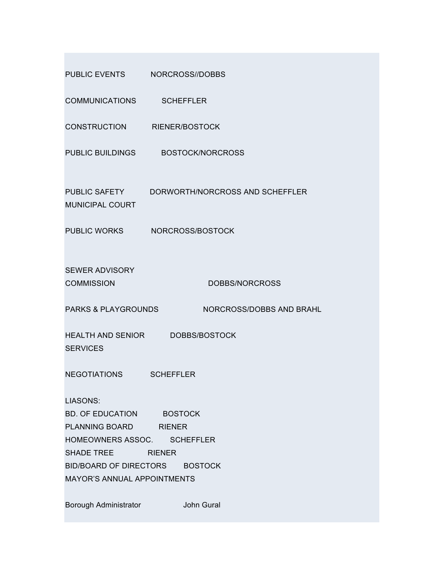| PUBLIC EVENTS NORCROSS//DOBBS                                                                                                                                                                    |                                               |  |  |  |
|--------------------------------------------------------------------------------------------------------------------------------------------------------------------------------------------------|-----------------------------------------------|--|--|--|
| COMMUNICATIONS SCHEFFLER                                                                                                                                                                         |                                               |  |  |  |
| CONSTRUCTION RIENER/BOSTOCK                                                                                                                                                                      |                                               |  |  |  |
| PUBLIC BUILDINGS                                                                                                                                                                                 | <b>BOSTOCK/NORCROSS</b>                       |  |  |  |
| <b>MUNICIPAL COURT</b>                                                                                                                                                                           | PUBLIC SAFETY DORWORTH/NORCROSS AND SCHEFFLER |  |  |  |
|                                                                                                                                                                                                  | PUBLIC WORKS NORCROSS/BOSTOCK                 |  |  |  |
| <b>SEWER ADVISORY</b><br><b>COMMISSION</b>                                                                                                                                                       | DOBBS/NORCROSS                                |  |  |  |
| <b>PARKS &amp; PLAYGROUNDS</b>                                                                                                                                                                   | <b>NORCROSS/DOBBS AND BRAHL</b>               |  |  |  |
| <b>SERVICES</b>                                                                                                                                                                                  | HEALTH AND SENIOR DOBBS/BOSTOCK               |  |  |  |
| <b>NEGOTIATIONS</b>                                                                                                                                                                              | <b>SCHEFFLER</b>                              |  |  |  |
| <b>LIASONS:</b><br>BD. OF EDUCATION BOSTOCK<br>PLANNING BOARD RIENER<br>HOMEOWNERS ASSOC. SCHEFFLER<br>SHADE TREE RIENER<br>BID/BOARD OF DIRECTORS BOSTOCK<br><b>MAYOR'S ANNUAL APPOINTMENTS</b> |                                               |  |  |  |
| Borough Administrator                                                                                                                                                                            | John Gural                                    |  |  |  |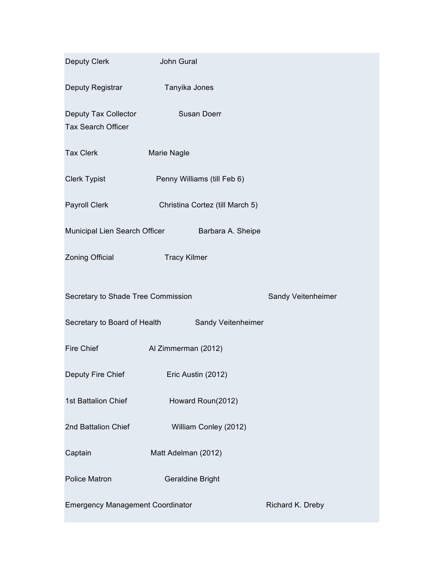| Deputy Clerk                                       | John Gural                                         |  |  |  |  |  |  |
|----------------------------------------------------|----------------------------------------------------|--|--|--|--|--|--|
| Deputy Registrar                                   | Tanyika Jones                                      |  |  |  |  |  |  |
| Deputy Tax Collector<br>Tax Search Officer         | Susan Doerr                                        |  |  |  |  |  |  |
| <b>Tax Clerk</b>                                   | Marie Nagle                                        |  |  |  |  |  |  |
| <b>Clerk Typist</b>                                | Penny Williams (till Feb 6)                        |  |  |  |  |  |  |
| Payroll Clerk<br>Christina Cortez (till March 5)   |                                                    |  |  |  |  |  |  |
| Municipal Lien Search Officer<br>Barbara A. Sheipe |                                                    |  |  |  |  |  |  |
| Zoning Official                                    | <b>Tracy Kilmer</b>                                |  |  |  |  |  |  |
| Secretary to Shade Tree Commission                 | Sandy Veitenheimer                                 |  |  |  |  |  |  |
|                                                    | Secretary to Board of Health<br>Sandy Veitenheimer |  |  |  |  |  |  |
| Fire Chief                                         | Al Zimmerman (2012)                                |  |  |  |  |  |  |
| Deputy Fire Chief<br>Eric Austin (2012)            |                                                    |  |  |  |  |  |  |
| 1st Battalion Chief<br>Howard Roun(2012)           |                                                    |  |  |  |  |  |  |
| 2nd Battalion Chief<br>William Conley (2012)       |                                                    |  |  |  |  |  |  |
| Captain                                            | Matt Adelman (2012)                                |  |  |  |  |  |  |
| <b>Police Matron</b>                               |                                                    |  |  |  |  |  |  |
|                                                    |                                                    |  |  |  |  |  |  |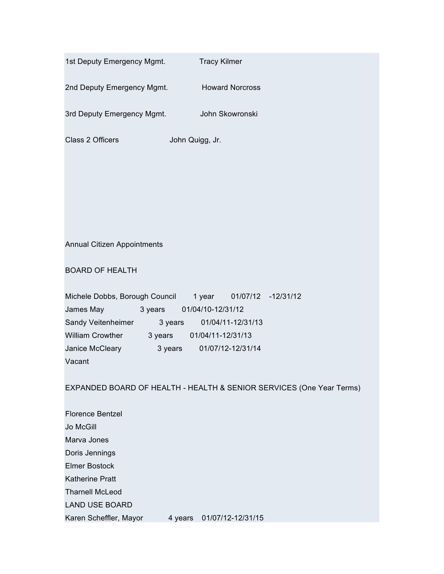| 1st Deputy Emergency Mgmt.                   | <b>Tracy Kilmer</b>                                                  |
|----------------------------------------------|----------------------------------------------------------------------|
| 2nd Deputy Emergency Mgmt. Howard Norcross   |                                                                      |
| 3rd Deputy Emergency Mgmt. John Skowronski   |                                                                      |
| Class 2 Officers<br>John Quigg, Jr.          |                                                                      |
|                                              |                                                                      |
|                                              |                                                                      |
|                                              |                                                                      |
|                                              |                                                                      |
|                                              |                                                                      |
| Annual Citizen Appointments                  |                                                                      |
|                                              |                                                                      |
| <b>BOARD OF HEALTH</b>                       |                                                                      |
| Michele Dobbs, Borough Council               | 1 year  01/07/12 -12/31/12                                           |
| James May <b>State Street</b>                |                                                                      |
| Sandy Veitenheimer 3 years 01/04/11-12/31/13 |                                                                      |
| William Crowther 3 years 01/04/11-12/31/13   |                                                                      |
| Janice McCleary                              |                                                                      |
| Vacant                                       |                                                                      |
|                                              |                                                                      |
|                                              | EXPANDED BOARD OF HEALTH - HEALTH & SENIOR SERVICES (One Year Terms) |
| <b>Florence Bentzel</b>                      |                                                                      |
| Jo McGill                                    |                                                                      |
| Marva Jones                                  |                                                                      |
| Doris Jennings                               |                                                                      |
| <b>Elmer Bostock</b>                         |                                                                      |
| <b>Katherine Pratt</b>                       |                                                                      |
| <b>Tharnell McLeod</b>                       |                                                                      |
| <b>LAND USE BOARD</b>                        |                                                                      |
| Karen Scheffler, Mayor<br>4 years            | 01/07/12-12/31/15                                                    |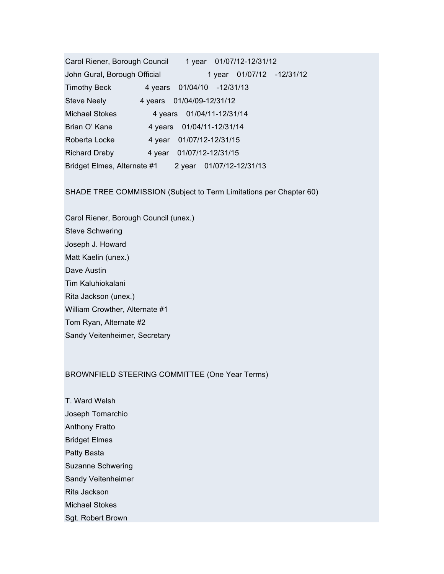Carol Riener, Borough Council 1 year 01/07/12-12/31/12 John Gural, Borough Official 1 year 01/07/12 -12/31/12 Timothy Beck 4 years 01/04/10 -12/31/13 Steve Neely 4 years 01/04/09-12/31/12 Michael Stokes 4 years 01/04/11-12/31/14 Brian O' Kane 4 years 01/04/11-12/31/14 Roberta Locke 4 year 01/07/12-12/31/15 Richard Dreby 4 year 01/07/12-12/31/15 Bridget Elmes, Alternate #1 2 year 01/07/12-12/31/13

SHADE TREE COMMISSION (Subject to Term Limitations per Chapter 60)

Carol Riener, Borough Council (unex.) Steve Schwering Joseph J. Howard Matt Kaelin (unex.) Dave Austin Tim Kaluhiokalani Rita Jackson (unex.) William Crowther, Alternate #1 Tom Ryan, Alternate #2 Sandy Veitenheimer, Secretary

### BROWNFIELD STEERING COMMITTEE (One Year Terms)

T. Ward Welsh Joseph Tomarchio Anthony Fratto Bridget Elmes Patty Basta Suzanne Schwering Sandy Veitenheimer Rita Jackson Michael Stokes Sgt. Robert Brown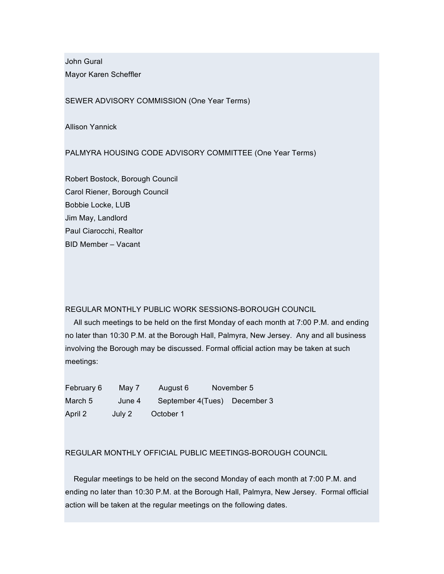John Gural Mayor Karen Scheffler

SEWER ADVISORY COMMISSION (One Year Terms)

Allison Yannick

PALMYRA HOUSING CODE ADVISORY COMMITTEE (One Year Terms)

Robert Bostock, Borough Council Carol Riener, Borough Council Bobbie Locke, LUB Jim May, Landlord Paul Ciarocchi, Realtor BID Member – Vacant

#### REGULAR MONTHLY PUBLIC WORK SESSIONS-BOROUGH COUNCIL

All such meetings to be held on the first Monday of each month at 7:00 P.M. and ending no later than 10:30 P.M. at the Borough Hall, Palmyra, New Jersey. Any and all business involving the Borough may be discussed. Formal official action may be taken at such meetings:

| February 6 | Mav 7  | August 6                     | November 5 |
|------------|--------|------------------------------|------------|
| March 5    | June 4 | September 4(Tues) December 3 |            |
| April 2    | July 2 | October 1                    |            |

#### REGULAR MONTHLY OFFICIAL PUBLIC MEETINGS-BOROUGH COUNCIL

Regular meetings to be held on the second Monday of each month at 7:00 P.M. and ending no later than 10:30 P.M. at the Borough Hall, Palmyra, New Jersey. Formal official action will be taken at the regular meetings on the following dates.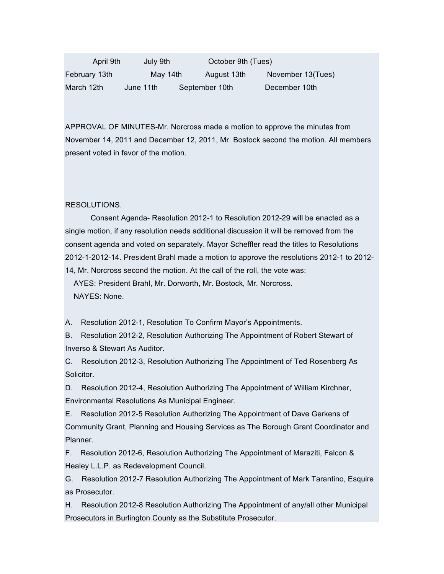| April 9th     | July 9th  |  | October 9th (Tues) |                   |
|---------------|-----------|--|--------------------|-------------------|
| February 13th | May 14th  |  | August 13th        | November 13(Tues) |
| March 12th    | June 11th |  | September 10th     | December 10th     |

APPROVAL OF MINUTES-Mr. Norcross made a motion to approve the minutes from November 14, 2011 and December 12, 2011, Mr. Bostock second the motion. All members present voted in favor of the motion.

#### RESOLUTIONS.

Consent Agenda- Resolution 2012-1 to Resolution 2012-29 will be enacted as a single motion, if any resolution needs additional discussion it will be removed from the consent agenda and voted on separately. Mayor Scheffler read the titles to Resolutions 2012-1-2012-14. President Brahl made a motion to approve the resolutions 2012-1 to 2012- 14, Mr. Norcross second the motion. At the call of the roll, the vote was:

AYES: President Brahl, Mr. Dorworth, Mr. Bostock, Mr. Norcross. NAYES: None.

A. Resolution 2012-1, Resolution To Confirm Mayor's Appointments.

B. Resolution 2012-2, Resolution Authorizing The Appointment of Robert Stewart of Inverso & Stewart As Auditor.

C. Resolution 2012-3, Resolution Authorizing The Appointment of Ted Rosenberg As Solicitor.

D. Resolution 2012-4, Resolution Authorizing The Appointment of William Kirchner, Environmental Resolutions As Municipal Engineer.

E. Resolution 2012-5 Resolution Authorizing The Appointment of Dave Gerkens of Community Grant, Planning and Housing Services as The Borough Grant Coordinator and Planner.

F. Resolution 2012-6, Resolution Authorizing The Appointment of Maraziti, Falcon & Healey L.L.P. as Redevelopment Council.

G. Resolution 2012-7 Resolution Authorizing The Appointment of Mark Tarantino, Esquire as Prosecutor.

H. Resolution 2012-8 Resolution Authorizing The Appointment of any/all other Municipal Prosecutors in Burlington County as the Substitute Prosecutor.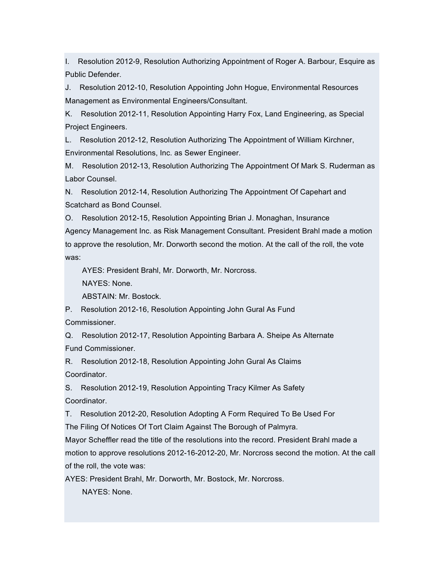I. Resolution 2012-9, Resolution Authorizing Appointment of Roger A. Barbour, Esquire as Public Defender.

J. Resolution 2012-10, Resolution Appointing John Hogue, Environmental Resources Management as Environmental Engineers/Consultant.

K. Resolution 2012-11, Resolution Appointing Harry Fox, Land Engineering, as Special Project Engineers.

L. Resolution 2012-12, Resolution Authorizing The Appointment of William Kirchner, Environmental Resolutions, Inc. as Sewer Engineer.

M. Resolution 2012-13, Resolution Authorizing The Appointment Of Mark S. Ruderman as Labor Counsel.

N. Resolution 2012-14, Resolution Authorizing The Appointment Of Capehart and Scatchard as Bond Counsel.

O. Resolution 2012-15, Resolution Appointing Brian J. Monaghan, Insurance Agency Management Inc. as Risk Management Consultant. President Brahl made a motion to approve the resolution, Mr. Dorworth second the motion. At the call of the roll, the vote was:

AYES: President Brahl, Mr. Dorworth, Mr. Norcross.

NAYES: None.

ABSTAIN: Mr. Bostock.

P. Resolution 2012-16, Resolution Appointing John Gural As Fund

Commissioner.

Q. Resolution 2012-17, Resolution Appointing Barbara A. Sheipe As Alternate Fund Commissioner.

R. Resolution 2012-18, Resolution Appointing John Gural As Claims Coordinator.

S. Resolution 2012-19, Resolution Appointing Tracy Kilmer As Safety Coordinator.

T. Resolution 2012-20, Resolution Adopting A Form Required To Be Used For The Filing Of Notices Of Tort Claim Against The Borough of Palmyra.

Mayor Scheffler read the title of the resolutions into the record. President Brahl made a motion to approve resolutions 2012-16-2012-20, Mr. Norcross second the motion. At the call of the roll, the vote was:

AYES: President Brahl, Mr. Dorworth, Mr. Bostock, Mr. Norcross.

NAYES: None.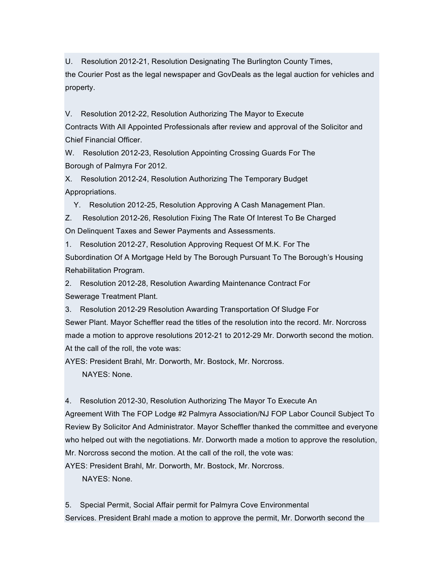U. Resolution 2012-21, Resolution Designating The Burlington County Times,

the Courier Post as the legal newspaper and GovDeals as the legal auction for vehicles and property.

V. Resolution 2012-22, Resolution Authorizing The Mayor to Execute Contracts With All Appointed Professionals after review and approval of the Solicitor and Chief Financial Officer.

W. Resolution 2012-23, Resolution Appointing Crossing Guards For The Borough of Palmyra For 2012.

X. Resolution 2012-24, Resolution Authorizing The Temporary Budget Appropriations.

Y. Resolution 2012-25, Resolution Approving A Cash Management Plan.

Z. Resolution 2012-26, Resolution Fixing The Rate Of Interest To Be Charged On Delinquent Taxes and Sewer Payments and Assessments.

1. Resolution 2012-27, Resolution Approving Request Of M.K. For The Subordination Of A Mortgage Held by The Borough Pursuant To The Borough's Housing Rehabilitation Program.

2. Resolution 2012-28, Resolution Awarding Maintenance Contract For Sewerage Treatment Plant.

3. Resolution 2012-29 Resolution Awarding Transportation Of Sludge For Sewer Plant. Mayor Scheffler read the titles of the resolution into the record. Mr. Norcross made a motion to approve resolutions 2012-21 to 2012-29 Mr. Dorworth second the motion. At the call of the roll, the vote was:

AYES: President Brahl, Mr. Dorworth, Mr. Bostock, Mr. Norcross.

NAYES: None.

4. Resolution 2012-30, Resolution Authorizing The Mayor To Execute An

Agreement With The FOP Lodge #2 Palmyra Association/NJ FOP Labor Council Subject To Review By Solicitor And Administrator. Mayor Scheffler thanked the committee and everyone who helped out with the negotiations. Mr. Dorworth made a motion to approve the resolution, Mr. Norcross second the motion. At the call of the roll, the vote was:

AYES: President Brahl, Mr. Dorworth, Mr. Bostock, Mr. Norcross.

NAYES: None.

5. Special Permit, Social Affair permit for Palmyra Cove Environmental Services. President Brahl made a motion to approve the permit, Mr. Dorworth second the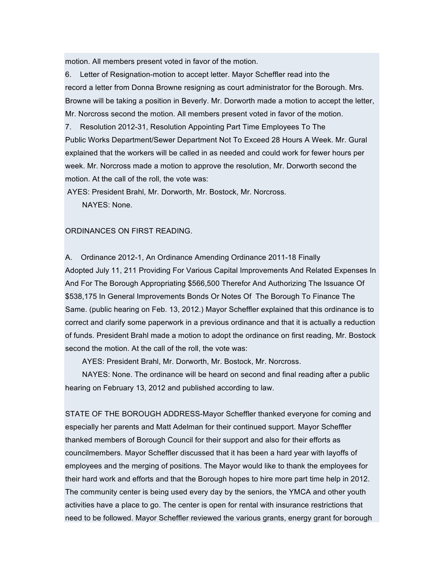motion. All members present voted in favor of the motion.

6. Letter of Resignation-motion to accept letter. Mayor Scheffler read into the record a letter from Donna Browne resigning as court administrator for the Borough. Mrs. Browne will be taking a position in Beverly. Mr. Dorworth made a motion to accept the letter, Mr. Norcross second the motion. All members present voted in favor of the motion.

7. Resolution 2012-31, Resolution Appointing Part Time Employees To The Public Works Department/Sewer Department Not To Exceed 28 Hours A Week. Mr. Gural explained that the workers will be called in as needed and could work for fewer hours per week. Mr. Norcross made a motion to approve the resolution, Mr. Dorworth second the motion. At the call of the roll, the vote was:

AYES: President Brahl, Mr. Dorworth, Mr. Bostock, Mr. Norcross.

NAYES: None.

#### ORDINANCES ON FIRST READING.

A. Ordinance 2012-1, An Ordinance Amending Ordinance 2011-18 Finally Adopted July 11, 211 Providing For Various Capital Improvements And Related Expenses In And For The Borough Appropriating \$566,500 Therefor And Authorizing The Issuance Of \$538,175 In General Improvements Bonds Or Notes Of The Borough To Finance The Same. (public hearing on Feb. 13, 2012.) Mayor Scheffler explained that this ordinance is to correct and clarify some paperwork in a previous ordinance and that it is actually a reduction of funds. President Brahl made a motion to adopt the ordinance on first reading, Mr. Bostock second the motion. At the call of the roll, the vote was:

AYES: President Brahl, Mr. Dorworth, Mr. Bostock, Mr. Norcross.

NAYES: None. The ordinance will be heard on second and final reading after a public hearing on February 13, 2012 and published according to law.

STATE OF THE BOROUGH ADDRESS-Mayor Scheffler thanked everyone for coming and especially her parents and Matt Adelman for their continued support. Mayor Scheffler thanked members of Borough Council for their support and also for their efforts as councilmembers. Mayor Scheffler discussed that it has been a hard year with layoffs of employees and the merging of positions. The Mayor would like to thank the employees for their hard work and efforts and that the Borough hopes to hire more part time help in 2012. The community center is being used every day by the seniors, the YMCA and other youth activities have a place to go. The center is open for rental with insurance restrictions that need to be followed. Mayor Scheffler reviewed the various grants, energy grant for borough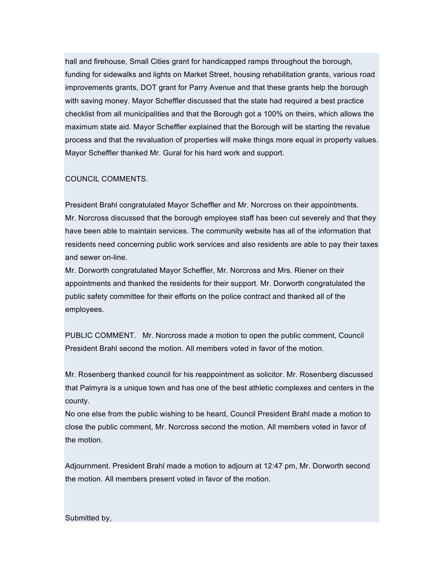hall and firehouse, Small Cities grant for handicapped ramps throughout the borough, funding for sidewalks and lights on Market Street, housing rehabilitation grants, various road improvements grants, DOT grant for Parry Avenue and that these grants help the borough with saving money. Mayor Scheffler discussed that the state had required a best practice checklist from all municipalities and that the Borough got a 100% on theirs, which allows the maximum state aid. Mayor Scheffler explained that the Borough will be starting the revalue process and that the revaluation of properties will make things more equal in property values. Mayor Scheffler thanked Mr. Gural for his hard work and support.

## COUNCIL COMMENTS.

President Brahl congratulated Mayor Scheffler and Mr. Norcross on their appointments. Mr. Norcross discussed that the borough employee staff has been cut severely and that they have been able to maintain services. The community website has all of the information that residents need concerning public work services and also residents are able to pay their taxes and sewer on-line.

Mr. Dorworth congratulated Mayor Scheffler, Mr. Norcross and Mrs. Riener on their appointments and thanked the residents for their support. Mr. Dorworth congratulated the public safety committee for their efforts on the police contract and thanked all of the employees.

PUBLIC COMMENT. Mr. Norcross made a motion to open the public comment, Council President Brahl second the motion. All members voted in favor of the motion.

Mr. Rosenberg thanked council for his reappointment as solicitor. Mr. Rosenberg discussed that Palmyra is a unique town and has one of the best athletic complexes and centers in the county.

No one else from the public wishing to be heard, Council President Brahl made a motion to close the public comment, Mr. Norcross second the motion. All members voted in favor of the motion.

Adjournment. President Brahl made a motion to adjourn at 12:47 pm, Mr. Dorworth second the motion. All members present voted in favor of the motion.

### Submitted by,